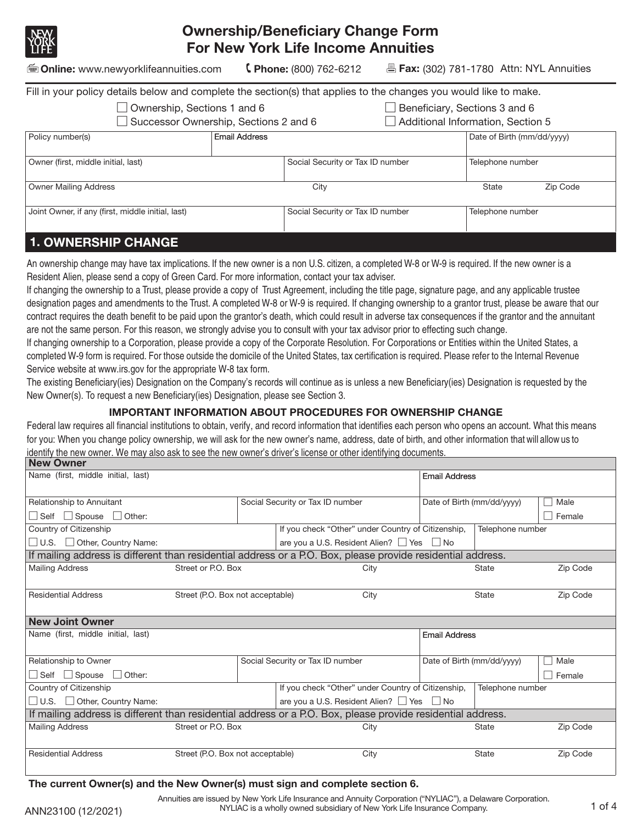

# **Ownership/Beneficiary Change Form For New York Life Income Annuities**

**Online:** www.newyorklifeannuities.com **Phone:** (800) 762-6212 **Fax:** (302) 781-1780 Attn: NYL Annuities

| Fill in your policy details below and complete the section(s) that applies to the changes you would like to make. |                      |                                   |                            |          |
|-------------------------------------------------------------------------------------------------------------------|----------------------|-----------------------------------|----------------------------|----------|
| $\Box$ Ownership, Sections 1 and 6                                                                                |                      | Beneficiary, Sections 3 and 6     |                            |          |
| Successor Ownership, Sections 2 and 6                                                                             |                      | Additional Information, Section 5 |                            |          |
| Policy number(s)                                                                                                  | <b>Email Address</b> |                                   | Date of Birth (mm/dd/yyyy) |          |
|                                                                                                                   |                      |                                   |                            |          |
| Owner (first, middle initial, last)                                                                               |                      | Social Security or Tax ID number  | Telephone number           |          |
|                                                                                                                   |                      |                                   |                            |          |
| <b>Owner Mailing Address</b>                                                                                      |                      | City                              | State                      | Zip Code |
|                                                                                                                   |                      |                                   |                            |          |
| Joint Owner, if any (first, middle initial, last)                                                                 |                      | Social Security or Tax ID number  | Telephone number           |          |
|                                                                                                                   |                      |                                   |                            |          |
|                                                                                                                   |                      |                                   |                            |          |

# **1. OWNERSHIP CHANGE**

An ownership change may have tax implications. If the new owner is a non U.S. citizen, a completed W-8 or W-9 is required. If the new owner is a Resident Alien, please send a copy of Green Card. For more information, contact your tax adviser.

If changing the ownership to a Trust, please provide a copy of Trust Agreement, including the title page, signature page, and any applicable trustee designation pages and amendments to the Trust. A completed W-8 or W-9 is required. If changing ownership to a grantor trust, please be aware that our contract requires the death benefit to be paid upon the grantor's death, which could result in adverse tax consequences if the grantor and the annuitant are not the same person. For this reason, we strongly advise you to consult with your tax advisor prior to effecting such change.

If changing ownership to a Corporation, please provide a copy of the Corporate Resolution. For Corporations or Entities within the United States, a completed W-9 form is required. For those outside the domicile of the United States, tax certification is required. Please refer to the Internal Revenue Service website at www.irs.gov for the appropriate W-8 tax form.

The existing Beneficiary(ies) Designation on the Company's records will continue as is unless a new Beneficiary(ies) Designation is requested by the New Owner(s). To request a new Beneficiary(ies) Designation, please see Section 3.

#### **IMPORTANT INFORMATION ABOUT PROCEDURES FOR OWNERSHIP CHANGE**

**New Owner** Federal law requires all financial institutions to obtain, verify, and record information that identifies each person who opens an account. What this means for you: When you change policy ownership, we will ask for the new owner's name, address, date of birth, and other information that will allow us to identify the new owner. We may also ask to see the new owner's driver's license or other identifying documents.

| ITU VY VIII                                                                                                 |                                  |  |                                  |                                                     |                            |                  |          |
|-------------------------------------------------------------------------------------------------------------|----------------------------------|--|----------------------------------|-----------------------------------------------------|----------------------------|------------------|----------|
| Name (first, middle initial, last)                                                                          |                                  |  |                                  |                                                     | <b>Email Address</b>       |                  |          |
| Relationship to Annuitant                                                                                   |                                  |  | Social Security or Tax ID number |                                                     | Date of Birth (mm/dd/yyyy) |                  | Male     |
| $\Box$ Self $\Box$ Spouse $\Box$ Other:                                                                     |                                  |  |                                  |                                                     |                            |                  | Female   |
| Country of Citizenship                                                                                      |                                  |  |                                  | If you check "Other" under Country of Citizenship,  |                            | Telephone number |          |
| □ U.S. □ Other, Country Name:                                                                               |                                  |  |                                  | are you a U.S. Resident Alien? $\Box$ Yes $\Box$ No |                            |                  |          |
| If mailing address is different than residential address or a P.O. Box, please provide residential address. |                                  |  |                                  |                                                     |                            |                  |          |
| <b>Mailing Address</b>                                                                                      | Street or P.O. Box               |  |                                  | City                                                |                            | <b>State</b>     | Zip Code |
| <b>Residential Address</b>                                                                                  | Street (P.O. Box not acceptable) |  |                                  | City                                                |                            | <b>State</b>     | Zip Code |
| <b>New Joint Owner</b>                                                                                      |                                  |  |                                  |                                                     |                            |                  |          |
| Name (first, middle initial, last)                                                                          |                                  |  |                                  |                                                     | <b>Email Address</b>       |                  |          |
| Relationship to Owner                                                                                       |                                  |  | Social Security or Tax ID number |                                                     | Date of Birth (mm/dd/yyyy) |                  | Male     |
| $\Box$ Self $\Box$ Spouse $\Box$ Other:                                                                     |                                  |  |                                  |                                                     |                            |                  | Female   |
| Country of Citizenship                                                                                      |                                  |  |                                  | If you check "Other" under Country of Citizenship,  |                            | Telephone number |          |
| $\Box$ U.S. $\Box$ Other, Country Name:                                                                     |                                  |  |                                  | are you a U.S. Resident Alien? $\Box$ Yes $\Box$ No |                            |                  |          |
| If mailing address is different than residential address or a P.O. Box, please provide residential address. |                                  |  |                                  |                                                     |                            |                  |          |
| <b>Mailing Address</b>                                                                                      | Street or P.O. Box               |  |                                  | City                                                |                            | <b>State</b>     | Zip Code |
| <b>Residential Address</b>                                                                                  | Street (P.O. Box not acceptable) |  |                                  | City                                                |                            | <b>State</b>     | Zip Code |

#### The current Owner(s) and the New Owner(s) must sign and complete section 6.

ANN23100 (12/2021) NYLIAC is a wholly owned subsidiary of New York Life Insurance Company. 1 of 4 Annuities are issued by New York Life Insurance and Annuity Corporation ("NYLIAC"), a Delaware Corporation.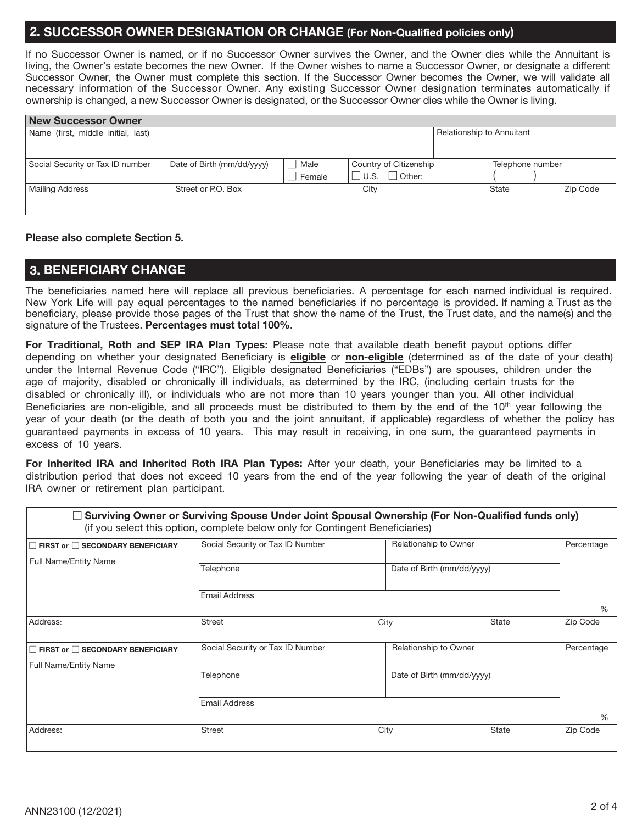#### 2. SUCCESSOR OWNER DESIGNATION OR CHANGE (For Non-Qualified policies only)

If no Successor Owner is named, or if no Successor Owner survives the Owner, and the Owner dies while the Annuitant is living, the Owner's estate becomes the new Owner. If the Owner wishes to name a Successor Owner, or designate a different Successor Owner, the Owner must complete this section. If the Successor Owner becomes the Owner, we will validate all necessary information of the Successor Owner. Any existing Successor Owner designation terminates automatically if ownership is changed, a new Successor Owner is designated, or the Successor Owner dies while the Owner is living.

| <b>New Successor Owner</b>         |                            |        |                              |                           |                  |          |
|------------------------------------|----------------------------|--------|------------------------------|---------------------------|------------------|----------|
| Name (first, middle initial, last) |                            |        |                              | Relationship to Annuitant |                  |          |
|                                    |                            |        |                              |                           |                  |          |
|                                    |                            |        |                              |                           |                  |          |
| Social Security or Tax ID number   | Date of Birth (mm/dd/yyyy) | Male   | Country of Citizenship       |                           | Telephone number |          |
|                                    |                            | Female | $\Box$ Other:<br>$\Box$ U.S. |                           |                  |          |
| <b>Mailing Address</b>             | Street or P.O. Box         |        | City                         |                           | <b>State</b>     | Zip Code |
|                                    |                            |        |                              |                           |                  |          |

#### Please also complete Section 5.

#### **3. BENEFICIARY CHANGE**

The beneficiaries named here will replace all previous beneficiaries. A percentage for each named individual is required. New York Life will pay equal percentages to the named beneficiaries if no percentage is provided. If naming a Trust as the beneficiary, please provide those pages of the Trust that show the name of the Trust, the Trust date, and the name(s) and the signature of the Trustees. Percentages must total 100%.

For Traditional, Roth and SEP IRA Plan Types: Please note that available death benefit payout options differ depending on whether your designated Beneficiary is eligible or non-eligible (determined as of the date of your death) under the Internal Revenue Code ("IRC"). Eligible designated Beneficiaries ("EDBs") are spouses, children under the age of majority, disabled or chronically ill individuals, as determined by the IRC, (including certain trusts for the disabled or chronically ill), or individuals who are not more than 10 years younger than you. All other individual Beneficiaries are non-eligible, and all proceeds must be distributed to them by the end of the 10<sup>th</sup> year following the year of your death (or the death of both you and the joint annuitant, if applicable) regardless of whether the policy has quaranteed payments in excess of 10 years. This may result in receiving, in one sum, the quaranteed payments in excess of 10 years.

For Inherited IRA and Inherited Roth IRA Plan Types: After your death, your Beneficiaries may be limited to a distribution period that does not exceed 10 years from the end of the year following the year of death of the original IRA owner or retirement plan participant.

| $\overline{\phantom{a}}$                        | Surviving Owner or Surviving Spouse Under Joint Spousal Ownership (For Non-Qualified funds only)<br>(if you select this option, complete below only for Contingent Beneficiaries) |                            |              |            |
|-------------------------------------------------|-----------------------------------------------------------------------------------------------------------------------------------------------------------------------------------|----------------------------|--------------|------------|
| FIRST or SECONDARY BENEFICIARY                  | Social Security or Tax ID Number                                                                                                                                                  | Relationship to Owner      |              | Percentage |
| <b>Full Name/Entity Name</b>                    |                                                                                                                                                                                   |                            |              |            |
|                                                 | Telephone                                                                                                                                                                         | Date of Birth (mm/dd/yyyy) |              |            |
|                                                 | <b>Email Address</b>                                                                                                                                                              |                            |              |            |
|                                                 |                                                                                                                                                                                   |                            |              | $\%$       |
| Address:                                        | Street                                                                                                                                                                            | City                       | State        | Zip Code   |
|                                                 |                                                                                                                                                                                   |                            |              |            |
| $\exists$ FIRST or $\Box$ SECONDARY BENEFICIARY | Social Security or Tax ID Number                                                                                                                                                  | Relationship to Owner      |              | Percentage |
| <b>Full Name/Entity Name</b>                    |                                                                                                                                                                                   |                            |              |            |
|                                                 | Telephone                                                                                                                                                                         | Date of Birth (mm/dd/yyyy) |              |            |
|                                                 | <b>Email Address</b>                                                                                                                                                              |                            |              |            |
|                                                 |                                                                                                                                                                                   |                            |              | $\%$       |
| Address:                                        | <b>Street</b>                                                                                                                                                                     | City                       | <b>State</b> | Zip Code   |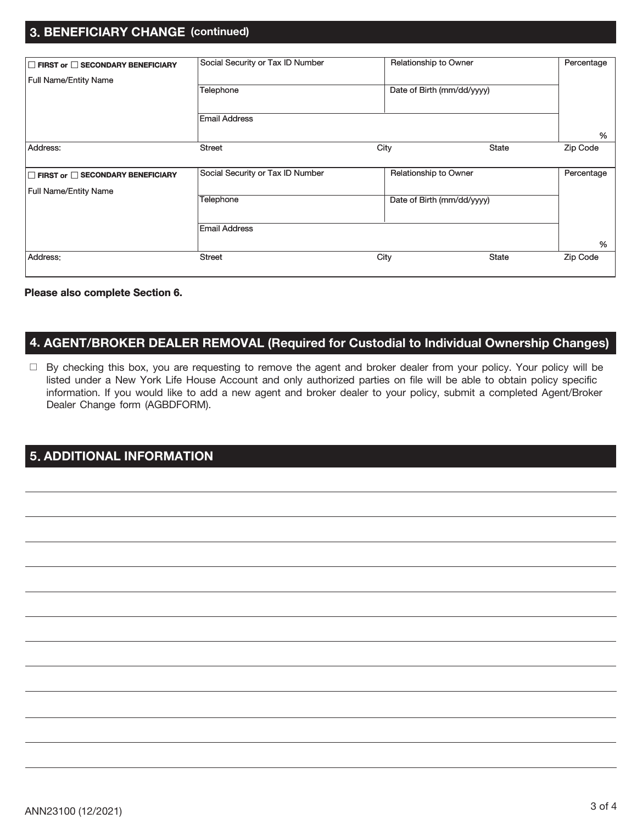### 3. BENEFICIARY CHANGE (continued)

| FIRST or SECONDARY BENEFICIARY | Social Security or Tax ID Number | Relationship to Owner      |              | Percentage |
|--------------------------------|----------------------------------|----------------------------|--------------|------------|
| <b>Full Name/Entity Name</b>   |                                  |                            |              |            |
|                                | Telephone                        | Date of Birth (mm/dd/yyyy) |              |            |
|                                |                                  |                            |              |            |
|                                | <b>Email Address</b>             |                            |              |            |
|                                |                                  |                            |              | %          |
| Address:                       | <b>Street</b>                    | City                       | State        | Zip Code   |
|                                |                                  |                            |              |            |
| FIRST or SECONDARY BENEFICIARY | Social Security or Tax ID Number | Relationship to Owner      |              | Percentage |
| <b>Full Name/Entity Name</b>   |                                  |                            |              |            |
|                                | Telephone                        | Date of Birth (mm/dd/yyyy) |              |            |
|                                |                                  |                            |              |            |
|                                | <b>Email Address</b>             |                            |              |            |
|                                |                                  |                            |              | %          |
| Address:                       | <b>Street</b>                    | City                       | <b>State</b> | Zip Code   |

#### Please also complete Section 6.

### 4. AGENT/BROKER DEALER REMOVAL (Required for Custodial to Individual Ownership Changes)

□ By checking this box, you are requesting to remove the agent and broker dealer from your policy. Your policy will be listed under a New York Life House Account and only authorized parties on file will be able to obtain policy specific information. If you would like to add a new agent and broker dealer to your policy, submit a completed Agent/Broker Dealer Change form (AGBDFORM).

# 5. ADDITIONAL INFORMATION